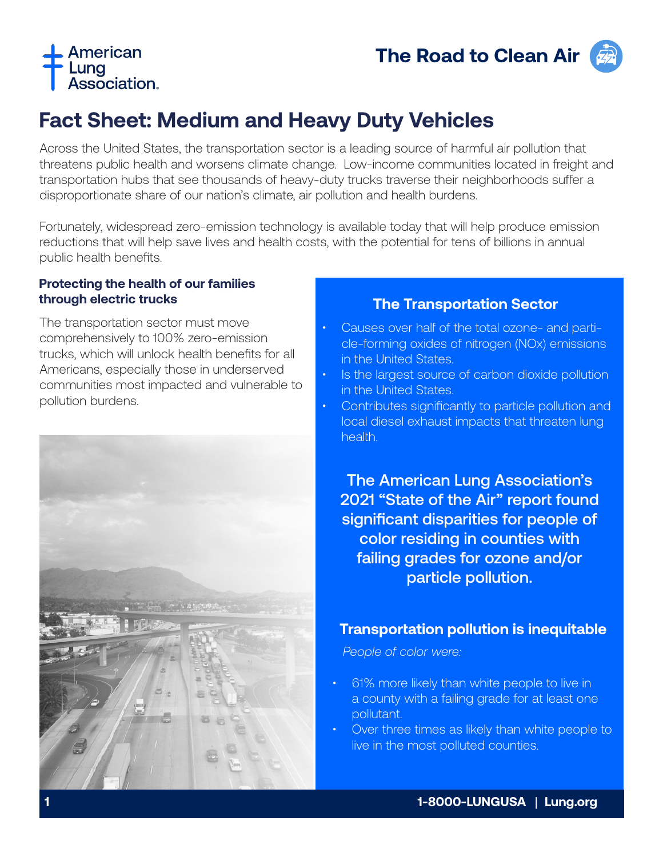



# **Fact Sheet: Medium and Heavy Duty Vehicles**

Across the United States, the transportation sector is a leading source of harmful air pollution that threatens public health and worsens climate change. Low-income communities located in freight and transportation hubs that see thousands of heavy-duty trucks traverse their neighborhoods suffer a disproportionate share of our nation's climate, air pollution and health burdens.

Fortunately, widespread zero-emission technology is available today that will help produce emission reductions that will help save lives and health costs, with the potential for tens of billions in annual public health benefits.

#### **Protecting the health of our families through electric trucks**

The transportation sector must move comprehensively to 100% zero-emission trucks, which will unlock health benefits for all Americans, especially those in underserved communities most impacted and vulnerable to pollution burdens.



#### **The Transportation Sector**

- Causes over half of the total ozone- and particle-forming oxides of nitrogen (NOx) emissions in the United States.
- **Is the largest source of carbon dioxide pollution** in the United States.
- Contributes significantly to particle pollution and local diesel exhaust impacts that threaten lung health.

The American Lung Association's 2021 "State of the Air" report found significant disparities for people of color residing in counties with failing grades for ozone and/or particle pollution.

#### **Transportation pollution is inequitable**

 *People of color were:*

- 61% more likely than white people to live in a county with a failing grade for at least one pollutant.
- Over three times as likely than white people to live in the most polluted counties.